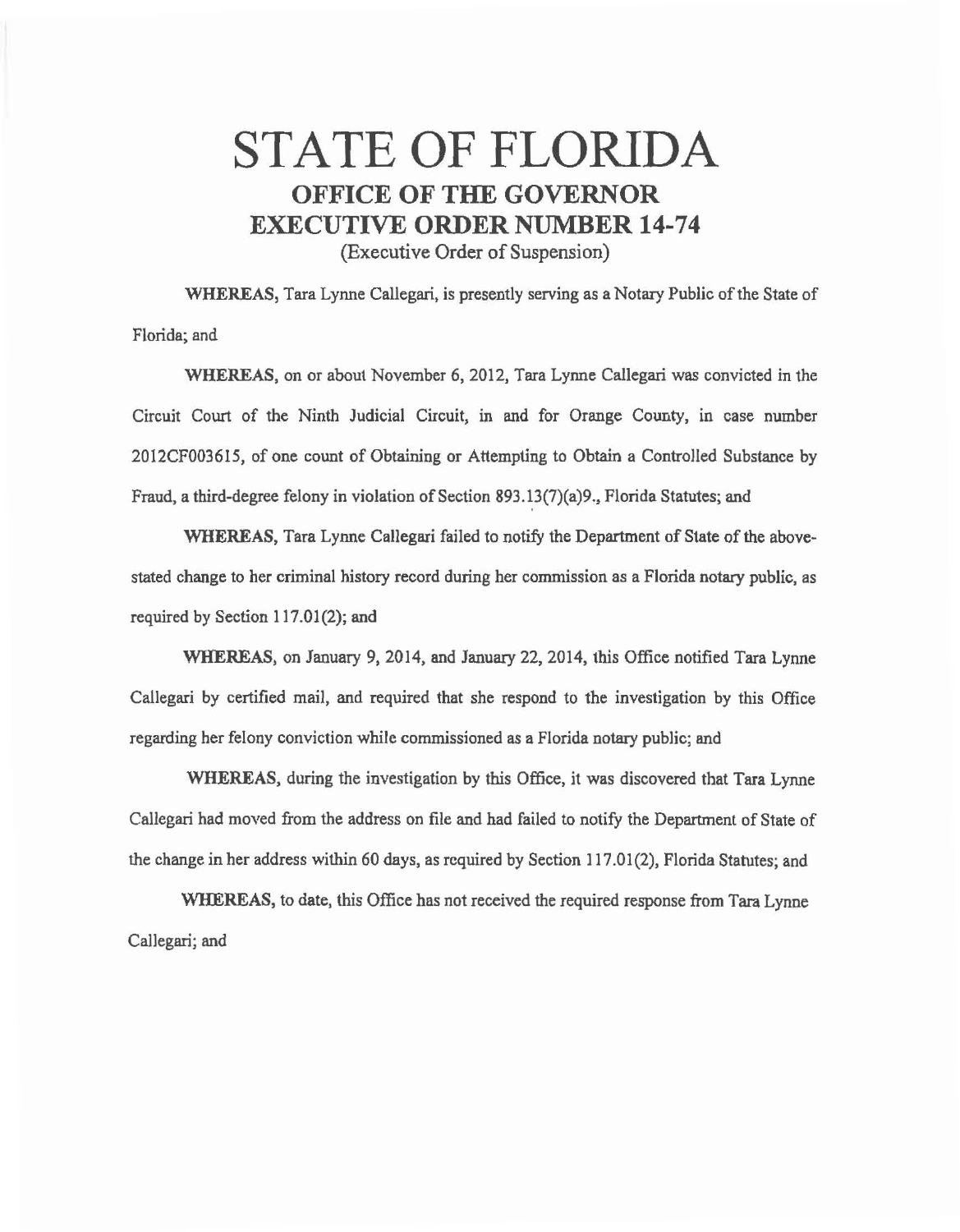## STATE OF FLORIDA **OFFICE OF THE GOVERNOR EXECUTIVE ORDER NUMBER 14-74**  (Executive Order of Suspension)

WHEREAS, Tara Lynne Callegari, is presently serving as a Notary Public of the State of Florida; and

WHEREAS, on or about November 6, 2012, Tara Lynne Callegari was convicted in the Circuit Court of the Ninth Judicial Circuit, in and for Orange County, in case number 2012CF003615, of one count of Obtaining or Attempting to Obtain a Controlled Substance by Fraud, a third-degree felony in violation of Section 893.13(7)(a)9., Florida Statutes; and

WHEREAS, Tara Lynne Callegari failed to notify the Department of State of the abovestated change to her criminal history record during her commission as a Florida notary public, as required by Section 117.01(2); and

WHEREAS, on January 9, 2014, and January 22, 2014, this Office notified Tara Lynne Callegari by certified mail, and required that she respond to the investigation by this Office regarding her felony conviction while commissioned as a Florida notary public; and

WHEREAS, during the investigation by this Office, it was discovered that Tara Lynne Callegari had moved from the address on file and had failed to notify the Department of State of the change in her address within 60 days, as required by Section 117.01 (2), Florida Statutes; and

WHEREAS, to date, this Office has not received the required response from Tara Lynne Callegari; and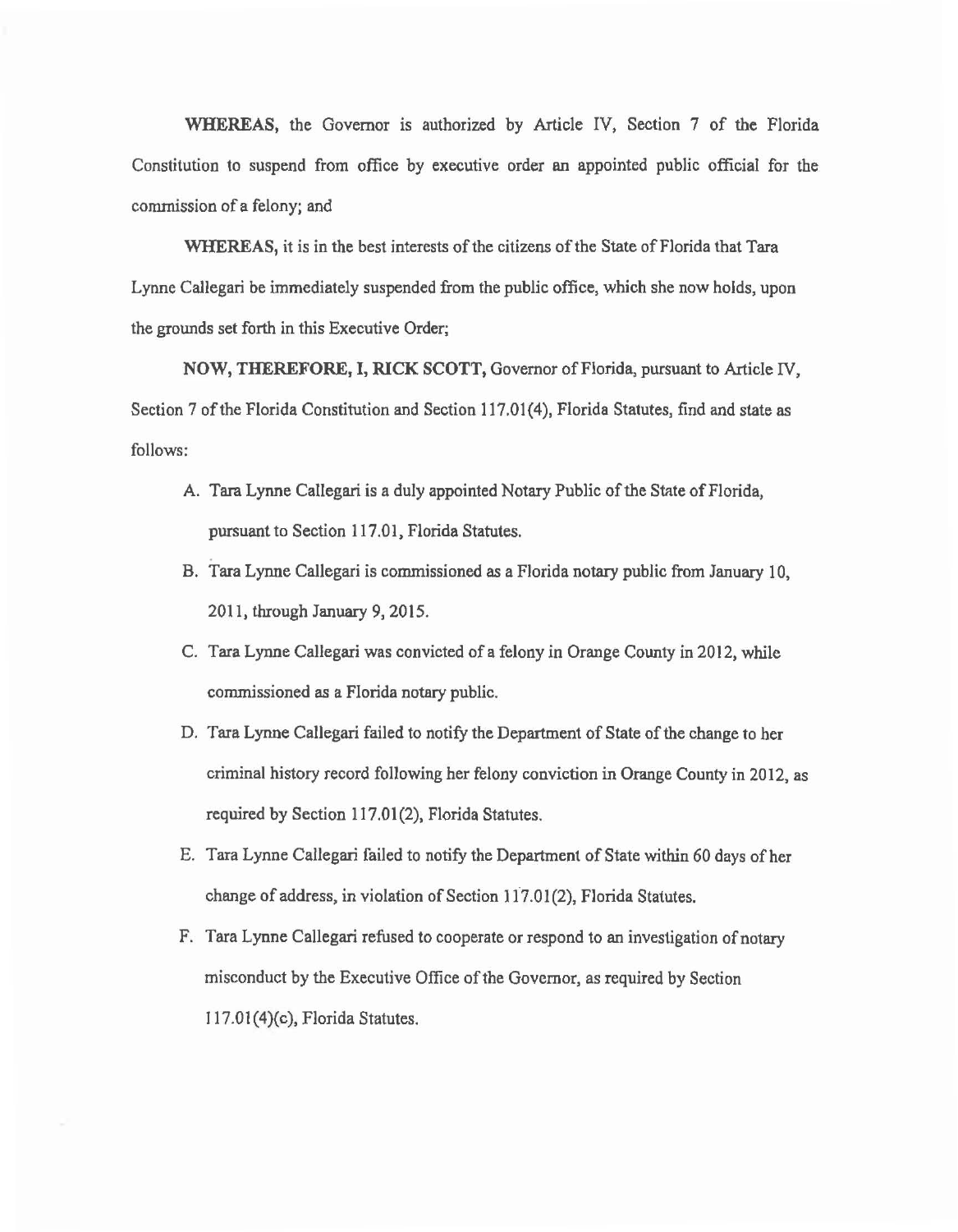WHEREAS, the Governor is authorized by Article IV, Section 7 of the Florida Constitution to suspend from office by executive order an appointed public official for the commission of a felony; and

WHEREAS, it is in the best interests of the citizens of the State of Florida that Tara Lynne Callegari be immediately suspended from the public office, which she now holds, upon the grounds set forth in this Executive Order;

NOW, THEREFORE, I, RICK SCOTT, Governor of Florida, pursuant to Article IV, Section 7 of the Florida Constitution and Section 117.01(4), Florida Statutes, find and state as follows:

- A. Tara Lynne Callegari is a duly appointed Notary Public of the State of Florida, pursuant to Section 117.01, Florida Statutes.
- B. Tara Lynne Callegari is commissioned as a Florida notary public from January 10, 2011, through January 9, 2015.
- C. Tara Lynne Callegari was convicted of a felony in Orange County in 2012, while commissioned as a Florida notary public.
- D. Tara Lynne Callegari failed to notify the Department of State of the change to her criminal history record following her felony conviction in Orange County in 2012, as required by Section 117.01(2), Florida Statutes.
- E. Tara Lynne Callegari failed to notify the Department of State within 60 days of her change of address, in violation of Section 117.01(2), Florida Statutes.
- F. Tara Lynne Callegari refused to cooperate or respond to an investigation of notary misconduct by the Executive Office of the Governor, as required by Section I 17.01(4)(c), Florida Statutes.